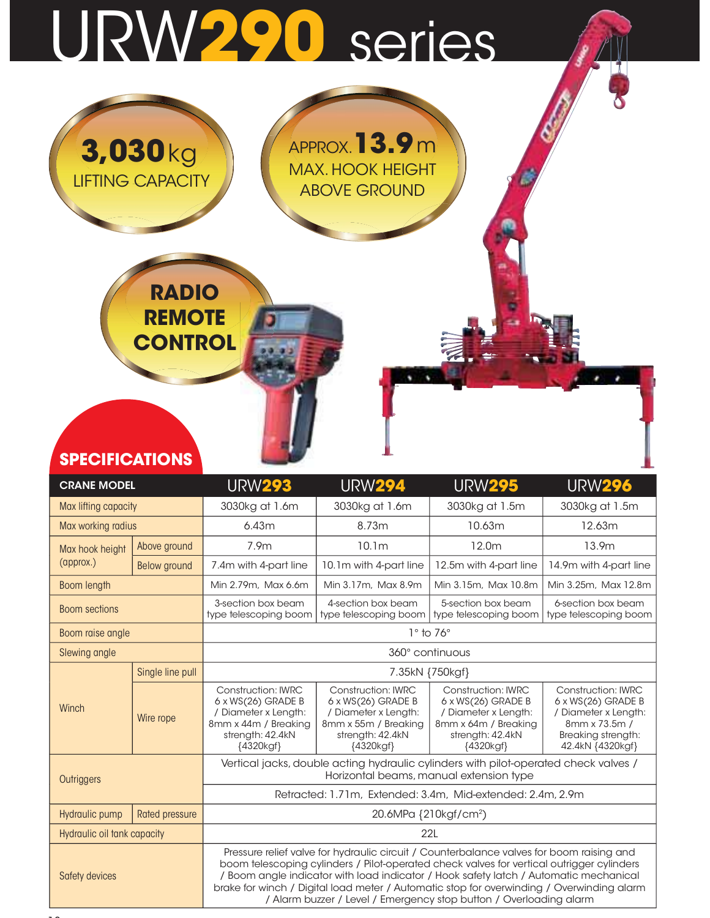# URW290 series

APPROX.13.9 m

MAX. HOOK HEIGHT ABOVE GROUND

3,030kg

LIFTING CAPACITY

RADIO

**REMOTE** 

**CONTROL** 

| <b>SPECIFICATIONS</b>       |                     |                                                                                                                                                                                          |                                                                                                                                                                                                                                                                                                                                                                                                                                                   |                                                                                                                                  |                                                                                                                                    |  |  |  |  |  |  |  |
|-----------------------------|---------------------|------------------------------------------------------------------------------------------------------------------------------------------------------------------------------------------|---------------------------------------------------------------------------------------------------------------------------------------------------------------------------------------------------------------------------------------------------------------------------------------------------------------------------------------------------------------------------------------------------------------------------------------------------|----------------------------------------------------------------------------------------------------------------------------------|------------------------------------------------------------------------------------------------------------------------------------|--|--|--|--|--|--|--|
| <b>CRANE MODEL</b>          |                     | <b>URW293</b>                                                                                                                                                                            | <b>URW294</b>                                                                                                                                                                                                                                                                                                                                                                                                                                     | <b>URW295</b>                                                                                                                    | <b>URW296</b>                                                                                                                      |  |  |  |  |  |  |  |
| Max lifting capacity        |                     | 3030kg at 1.6m                                                                                                                                                                           | 3030kg at 1.6m                                                                                                                                                                                                                                                                                                                                                                                                                                    | 3030kg at 1.5m                                                                                                                   | 3030kg at 1.5m                                                                                                                     |  |  |  |  |  |  |  |
| Max working radius          |                     | 6.43m                                                                                                                                                                                    | 8.73m                                                                                                                                                                                                                                                                                                                                                                                                                                             | 10.63m                                                                                                                           | 12.63m                                                                                                                             |  |  |  |  |  |  |  |
| Max hook height             | Above ground        | 7.9m                                                                                                                                                                                     | 10.1 <sub>m</sub>                                                                                                                                                                                                                                                                                                                                                                                                                                 | 12.0m                                                                                                                            | 13.9m                                                                                                                              |  |  |  |  |  |  |  |
| (approx.)                   | <b>Below</b> ground | 7.4m with 4-part line                                                                                                                                                                    | 10.1m with 4-part line                                                                                                                                                                                                                                                                                                                                                                                                                            | 12.5m with 4-part line                                                                                                           | 14.9m with 4-part line                                                                                                             |  |  |  |  |  |  |  |
| Boom length                 |                     | Min 2.79m, Max 6.6m                                                                                                                                                                      | Min 3.17m, Max 8.9m                                                                                                                                                                                                                                                                                                                                                                                                                               | Min 3.15m, Max 10.8m                                                                                                             | Min 3.25m, Max 12.8m                                                                                                               |  |  |  |  |  |  |  |
| <b>Boom sections</b>        |                     | 3-section box beam<br>4-section box beam<br>5-section box beam<br>6-section box beam<br>type telescoping boom<br>type telescoping boom<br>type telescoping boom<br>type telescoping boom |                                                                                                                                                                                                                                                                                                                                                                                                                                                   |                                                                                                                                  |                                                                                                                                    |  |  |  |  |  |  |  |
| Boom raise angle            |                     |                                                                                                                                                                                          | $1°$ to 76 $°$                                                                                                                                                                                                                                                                                                                                                                                                                                    |                                                                                                                                  |                                                                                                                                    |  |  |  |  |  |  |  |
| Slewing angle               |                     | 360° continuous                                                                                                                                                                          |                                                                                                                                                                                                                                                                                                                                                                                                                                                   |                                                                                                                                  |                                                                                                                                    |  |  |  |  |  |  |  |
|                             | Single line pull    |                                                                                                                                                                                          | 7.35kN {750kgf}                                                                                                                                                                                                                                                                                                                                                                                                                                   |                                                                                                                                  |                                                                                                                                    |  |  |  |  |  |  |  |
| Winch                       | Wire rope           | <b>Construction: IWRC</b><br>6 x WS(26) GRADE B<br>/ Diameter x Length:<br>8mm x 44m / Breaking<br>strength: 42.4kN<br>{4320kgf}                                                         | <b>Construction: IWRC</b><br>6 x WS(26) GRADE B<br>/ Diameter x Length:<br>8mm x 55m / Breaking<br>strength: 42.4kN<br>{4320kgf}                                                                                                                                                                                                                                                                                                                  | <b>Construction: IWRC</b><br>6 x WS(26) GRADE B<br>/ Diameter x Length:<br>8mm x 64m / Breaking<br>strength: 42.4kN<br>{4320kgf} | <b>Construction: IWRC</b><br>6 x WS(26) GRADE B<br>/ Diameter x Length:<br>8mm x 73.5m /<br>Breaking strength:<br>42.4kN {4320kgf} |  |  |  |  |  |  |  |
| Outriggers                  |                     | Vertical jacks, double acting hydraulic cylinders with pilot-operated check valves /<br>Horizontal beams, manual extension type                                                          |                                                                                                                                                                                                                                                                                                                                                                                                                                                   |                                                                                                                                  |                                                                                                                                    |  |  |  |  |  |  |  |
|                             |                     | Retracted: 1.71m, Extended: 3.4m, Mid-extended: 2.4m, 2.9m                                                                                                                               |                                                                                                                                                                                                                                                                                                                                                                                                                                                   |                                                                                                                                  |                                                                                                                                    |  |  |  |  |  |  |  |
| Hydraulic pump              | Rated pressure      |                                                                                                                                                                                          | 20.6MPa {210kgf/cm <sup>2</sup> )                                                                                                                                                                                                                                                                                                                                                                                                                 |                                                                                                                                  |                                                                                                                                    |  |  |  |  |  |  |  |
| Hydraulic oil tank capacity |                     |                                                                                                                                                                                          |                                                                                                                                                                                                                                                                                                                                                                                                                                                   | 22L                                                                                                                              |                                                                                                                                    |  |  |  |  |  |  |  |
| Safety devices              |                     |                                                                                                                                                                                          | Pressure relief valve for hydraulic circuit / Counterbalance valves for boom raising and<br>boom telescoping cylinders / Pilot-operated check valves for vertical outrigger cylinders<br>/ Boom angle indicator with load indicator / Hook safety latch / Automatic mechanical<br>brake for winch / Digital load meter / Automatic stop for overwinding / Overwinding alarm<br>/ Alarm buzzer / Level / Emergency stop button / Overloading alarm |                                                                                                                                  |                                                                                                                                    |  |  |  |  |  |  |  |